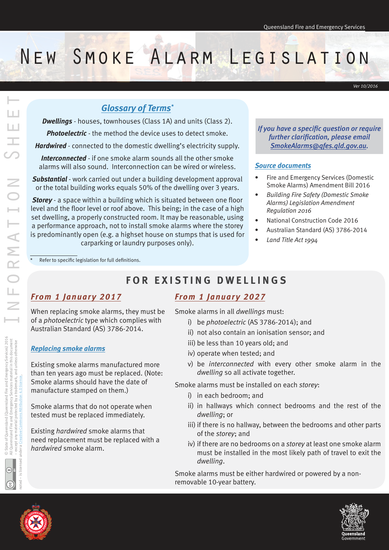# New Smoke Alarm Legislation

*Ver 10/2016*

# *Glossary of Terms\**

*Dwellings* - houses, townhouses (Class 1A) and units (Class 2).

*Photoelectric* - the method the device uses to detect smoke.

*Hardwired* - connected to the domestic dwelling's electricity supply.

*Interconnected* - if one smoke alarm sounds all the other smoke alarms will also sound. Interconnection can be wired or wireless.

*Substantial* - work carried out under a building development approval or the total building works equals 50% of the dwelling over 3 years.

*Storey* - a space within a building which is situated between one floor level and the floor level or roof above. This being; in the case of a high set dwelling, a properly constructed room. It may be reasonable, using a performance approach, not to install smoke alarms where the storey is predominantly open (e.g. a highset house on stumps that is used for carparking or laundry purposes only).

*If you have a specific question or require further clarification, please email SmokeAlarms@qfes.qld.gov.au.* 

#### *Source documents*

- Fire and Emergency Services (Domestic Smoke Alarms) Amendment Bill 2016
- *Building Fire Safety (Domestic Smoke Alarms) Legislation Amendment Regulation 2016*
- National Construction Code 2016
- Australian Standard (AS) 3786-2014
- *Land Title Act 1994*

Refer to specific legislation for full definitions.

# **FOR EXISTING DWELLINGS**

#### *From 1 January 2017*

When replacing smoke alarms, they must be of a *photoelectric* type which complies with Australian Standard (AS) 3786-2014.

#### *Replacing smoke alarms*

Existing smoke alarms manufactured more than ten years ago must be replaced. (Note: Smoke alarms should have the date of manufacture stamped on them.)

Smoke alarms that do not operate when tested must be replaced immediately.

Existing *hardwired* smoke alarms that need replacement must be replaced with a *hardwired* smoke alarm.

# *From 1 January 2027*

Smoke alarms in all *dwellings* must:

- i) be *photoelectric* (AS 3786-2014); and
- ii) not also contain an ionisation sensor; and
- iii) be less than 10 years old; and
- iv) operate when tested; and
- v) be *interconnected* with every other smoke alarm in the *dwelling* so all activate together.

Smoke alarms must be installed on each *storey*:

- i) in each bedroom; and
- ii) in hallways which connect bedrooms and the rest of the *dwelling*; or
- iii) if there is no hallway, between the bedrooms and other parts of the *storey*; and
- iv) if there are no bedrooms on a *storey* at least one smoke alarm must be installed in the most likely path of travel to exit the *dwelling*.

Smoke alarms must be either hardwired or powered by a nonremovable 10-year battery.